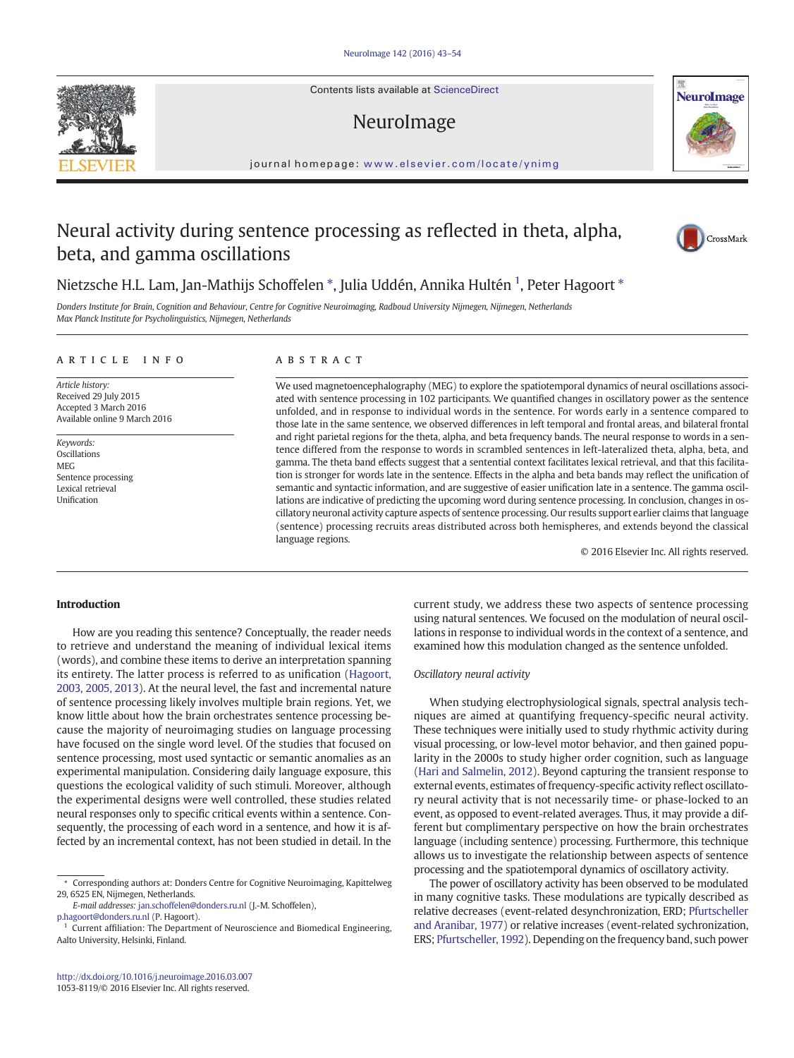Contents lists available at ScienceDirect

# NeuroImage



journal homepage: <www.elsevier.com/locate/ynimg>

# Neural activity during sentence processing as reflected in theta, alpha, beta, and gamma oscillations



# Nietzsche H.L. Lam, Jan-Mathijs Schoffelen \*, Julia Uddén, Annika Hultén <sup>1</sup>, Peter Hagoort \*

Donders Institute for Brain, Cognition and Behaviour, Centre for Cognitive Neuroimaging, Radboud University Nijmegen, Nijmegen, Netherlands Max Planck Institute for Psycholinguistics, Nijmegen, Netherlands

#### article info abstract

Article history: Received 29 July 2015 Accepted 3 March 2016 Available online 9 March 2016

Keywords: **Oscillations** MEG Sentence processing Lexical retrieval Unification

We used magnetoencephalography (MEG) to explore the spatiotemporal dynamics of neural oscillations associated with sentence processing in 102 participants. We quantified changes in oscillatory power as the sentence unfolded, and in response to individual words in the sentence. For words early in a sentence compared to those late in the same sentence, we observed differences in left temporal and frontal areas, and bilateral frontal and right parietal regions for the theta, alpha, and beta frequency bands. The neural response to words in a sentence differed from the response to words in scrambled sentences in left-lateralized theta, alpha, beta, and gamma. The theta band effects suggest that a sentential context facilitates lexical retrieval, and that this facilitation is stronger for words late in the sentence. Effects in the alpha and beta bands may reflect the unification of semantic and syntactic information, and are suggestive of easier unification late in a sentence. The gamma oscillations are indicative of predicting the upcoming word during sentence processing. In conclusion, changes in oscillatory neuronal activity capture aspects of sentence processing. Our results support earlier claims that language (sentence) processing recruits areas distributed across both hemispheres, and extends beyond the classical language regions.

© 2016 Elsevier Inc. All rights reserved.

# Introduction

How are you reading this sentence? Conceptually, the reader needs to retrieve and understand the meaning of individual lexical items (words), and combine these items to derive an interpretation spanning its entirety. The latter process is referred to as unification ([Hagoort,](#page-10-0) [2003, 2005, 2013](#page-10-0)). At the neural level, the fast and incremental nature of sentence processing likely involves multiple brain regions. Yet, we know little about how the brain orchestrates sentence processing because the majority of neuroimaging studies on language processing have focused on the single word level. Of the studies that focused on sentence processing, most used syntactic or semantic anomalies as an experimental manipulation. Considering daily language exposure, this questions the ecological validity of such stimuli. Moreover, although the experimental designs were well controlled, these studies related neural responses only to specific critical events within a sentence. Consequently, the processing of each word in a sentence, and how it is affected by an incremental context, has not been studied in detail. In the

[p.hagoort@donders.ru.nl](mailto:p.hagoort@donders.ru.nl) (P. Hagoort).

current study, we address these two aspects of sentence processing using natural sentences. We focused on the modulation of neural oscillations in response to individual words in the context of a sentence, and examined how this modulation changed as the sentence unfolded.

#### Oscillatory neural activity

When studying electrophysiological signals, spectral analysis techniques are aimed at quantifying frequency-specific neural activity. These techniques were initially used to study rhythmic activity during visual processing, or low-level motor behavior, and then gained popularity in the 2000s to study higher order cognition, such as language [\(Hari and Salmelin, 2012\)](#page-11-0). Beyond capturing the transient response to external events, estimates of frequency-specific activity reflect oscillatory neural activity that is not necessarily time- or phase-locked to an event, as opposed to event-related averages. Thus, it may provide a different but complimentary perspective on how the brain orchestrates language (including sentence) processing. Furthermore, this technique allows us to investigate the relationship between aspects of sentence processing and the spatiotemporal dynamics of oscillatory activity.

The power of oscillatory activity has been observed to be modulated in many cognitive tasks. These modulations are typically described as relative decreases (event-related desynchronization, ERD; [Pfurtscheller](#page-11-0) [and Aranibar, 1977\)](#page-11-0) or relative increases (event-related sychronization, ERS; [Pfurtscheller, 1992](#page-11-0)). Depending on the frequency band, such power



<sup>⁎</sup> Corresponding authors at: Donders Centre for Cognitive Neuroimaging, Kapittelweg 29, 6525 EN, Nijmegen, Netherlands.

E-mail addresses: jan.schoffelen@donders.ru.nl (J.-M. Schoffelen),

 $^{\rm 1}$  Current affiliation: The Department of Neuroscience and Biomedical Engineering, Aalto University, Helsinki, Finland.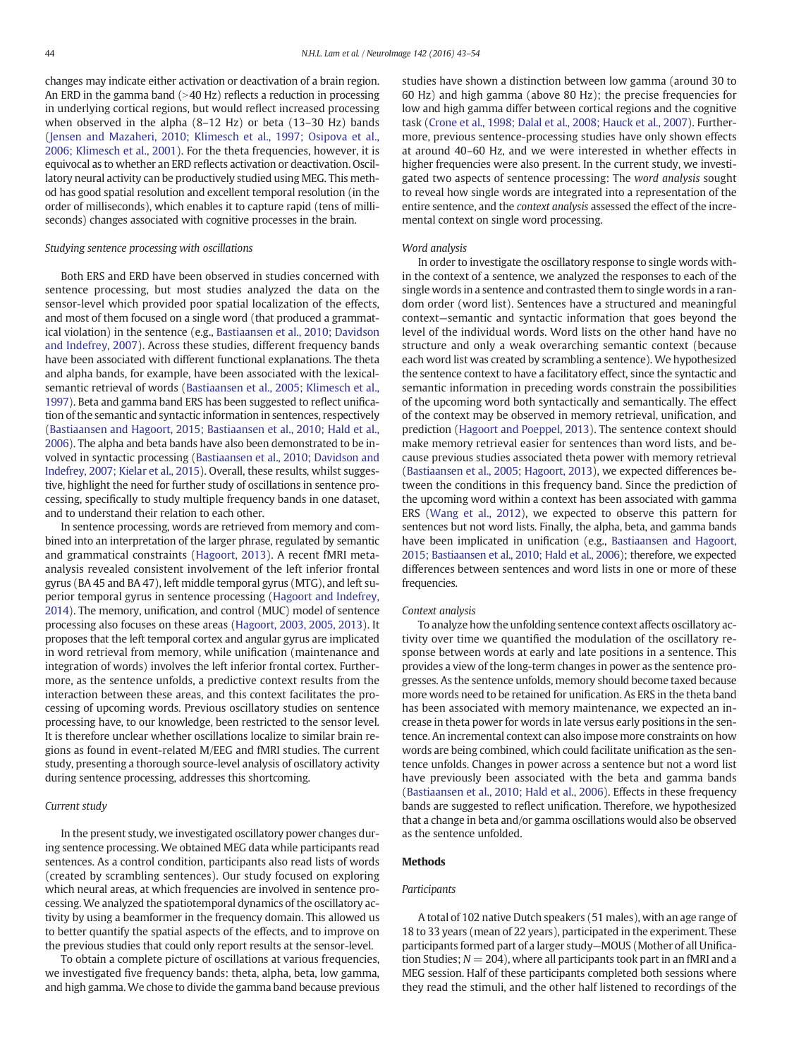changes may indicate either activation or deactivation of a brain region. An ERD in the gamma band  $(>40$  Hz) reflects a reduction in processing in underlying cortical regions, but would reflect increased processing when observed in the alpha (8–12 Hz) or beta (13–30 Hz) bands [\(Jensen and Mazaheri, 2010; Klimesch et al., 1997; Osipova et al.,](#page-11-0) [2006; Klimesch et al., 2001](#page-11-0)). For the theta frequencies, however, it is equivocal as to whether an ERD reflects activation or deactivation. Oscillatory neural activity can be productively studied using MEG. This method has good spatial resolution and excellent temporal resolution (in the order of milliseconds), which enables it to capture rapid (tens of milliseconds) changes associated with cognitive processes in the brain.

#### Studying sentence processing with oscillations

Both ERS and ERD have been observed in studies concerned with sentence processing, but most studies analyzed the data on the sensor-level which provided poor spatial localization of the effects, and most of them focused on a single word (that produced a grammatical violation) in the sentence (e.g., [Bastiaansen et al., 2010; Davidson](#page-10-0) [and Indefrey, 2007](#page-10-0)). Across these studies, different frequency bands have been associated with different functional explanations. The theta and alpha bands, for example, have been associated with the lexicalsemantic retrieval of words ([Bastiaansen et al., 2005; Klimesch et al.,](#page-10-0) [1997\)](#page-10-0). Beta and gamma band ERS has been suggested to reflect unification of the semantic and syntactic information in sentences, respectively [\(Bastiaansen and Hagoort, 2015; Bastiaansen et al., 2010; Hald et al.,](#page-10-0) [2006\)](#page-10-0). The alpha and beta bands have also been demonstrated to be involved in syntactic processing [\(Bastiaansen et al., 2010; Davidson and](#page-10-0) [Indefrey, 2007; Kielar et al., 2015\)](#page-10-0). Overall, these results, whilst suggestive, highlight the need for further study of oscillations in sentence processing, specifically to study multiple frequency bands in one dataset, and to understand their relation to each other.

In sentence processing, words are retrieved from memory and combined into an interpretation of the larger phrase, regulated by semantic and grammatical constraints ([Hagoort, 2013\)](#page-10-0). A recent fMRI metaanalysis revealed consistent involvement of the left inferior frontal gyrus (BA 45 and BA 47), left middle temporal gyrus (MTG), and left superior temporal gyrus in sentence processing ([Hagoort and Indefrey,](#page-10-0) [2014\)](#page-10-0). The memory, unification, and control (MUC) model of sentence processing also focuses on these areas ([Hagoort, 2003, 2005, 2013](#page-10-0)). It proposes that the left temporal cortex and angular gyrus are implicated in word retrieval from memory, while unification (maintenance and integration of words) involves the left inferior frontal cortex. Furthermore, as the sentence unfolds, a predictive context results from the interaction between these areas, and this context facilitates the processing of upcoming words. Previous oscillatory studies on sentence processing have, to our knowledge, been restricted to the sensor level. It is therefore unclear whether oscillations localize to similar brain regions as found in event-related M/EEG and fMRI studies. The current study, presenting a thorough source-level analysis of oscillatory activity during sentence processing, addresses this shortcoming.

#### Current study

In the present study, we investigated oscillatory power changes during sentence processing. We obtained MEG data while participants read sentences. As a control condition, participants also read lists of words (created by scrambling sentences). Our study focused on exploring which neural areas, at which frequencies are involved in sentence processing. We analyzed the spatiotemporal dynamics of the oscillatory activity by using a beamformer in the frequency domain. This allowed us to better quantify the spatial aspects of the effects, and to improve on the previous studies that could only report results at the sensor-level.

To obtain a complete picture of oscillations at various frequencies, we investigated five frequency bands: theta, alpha, beta, low gamma, and high gamma.We chose to divide the gamma band because previous studies have shown a distinction between low gamma (around 30 to 60 Hz) and high gamma (above 80 Hz); the precise frequencies for low and high gamma differ between cortical regions and the cognitive task ([Crone et al., 1998; Dalal et al., 2008; Hauck et al., 2007\)](#page-10-0). Furthermore, previous sentence-processing studies have only shown effects at around 40–60 Hz, and we were interested in whether effects in higher frequencies were also present. In the current study, we investigated two aspects of sentence processing: The word analysis sought to reveal how single words are integrated into a representation of the entire sentence, and the context analysis assessed the effect of the incremental context on single word processing.

#### Word analysis

In order to investigate the oscillatory response to single words within the context of a sentence, we analyzed the responses to each of the single words in a sentence and contrasted them to single words in a random order (word list). Sentences have a structured and meaningful context—semantic and syntactic information that goes beyond the level of the individual words. Word lists on the other hand have no structure and only a weak overarching semantic context (because each word list was created by scrambling a sentence). We hypothesized the sentence context to have a facilitatory effect, since the syntactic and semantic information in preceding words constrain the possibilities of the upcoming word both syntactically and semantically. The effect of the context may be observed in memory retrieval, unification, and prediction [\(Hagoort and Poeppel, 2013](#page-10-0)). The sentence context should make memory retrieval easier for sentences than word lists, and because previous studies associated theta power with memory retrieval [\(Bastiaansen et al., 2005; Hagoort, 2013](#page-10-0)), we expected differences between the conditions in this frequency band. Since the prediction of the upcoming word within a context has been associated with gamma ERS ([Wang et al., 2012\)](#page-11-0), we expected to observe this pattern for sentences but not word lists. Finally, the alpha, beta, and gamma bands have been implicated in unification (e.g., [Bastiaansen and Hagoort,](#page-10-0) [2015; Bastiaansen et al., 2010; Hald et al., 2006\)](#page-10-0); therefore, we expected differences between sentences and word lists in one or more of these frequencies.

#### Context analysis

To analyze how the unfolding sentence context affects oscillatory activity over time we quantified the modulation of the oscillatory response between words at early and late positions in a sentence. This provides a view of the long-term changes in power as the sentence progresses. As the sentence unfolds, memory should become taxed because more words need to be retained for unification. As ERS in the theta band has been associated with memory maintenance, we expected an increase in theta power for words in late versus early positions in the sentence. An incremental context can also impose more constraints on how words are being combined, which could facilitate unification as the sentence unfolds. Changes in power across a sentence but not a word list have previously been associated with the beta and gamma bands [\(Bastiaansen et al., 2010; Hald et al., 2006\)](#page-10-0). Effects in these frequency bands are suggested to reflect unification. Therefore, we hypothesized that a change in beta and/or gamma oscillations would also be observed as the sentence unfolded.

#### Methods

#### **Participants**

A total of 102 native Dutch speakers (51 males), with an age range of 18 to 33 years (mean of 22 years), participated in the experiment. These participants formed part of a larger study—MOUS (Mother of all Unification Studies;  $N = 204$ ), where all participants took part in an fMRI and a MEG session. Half of these participants completed both sessions where they read the stimuli, and the other half listened to recordings of the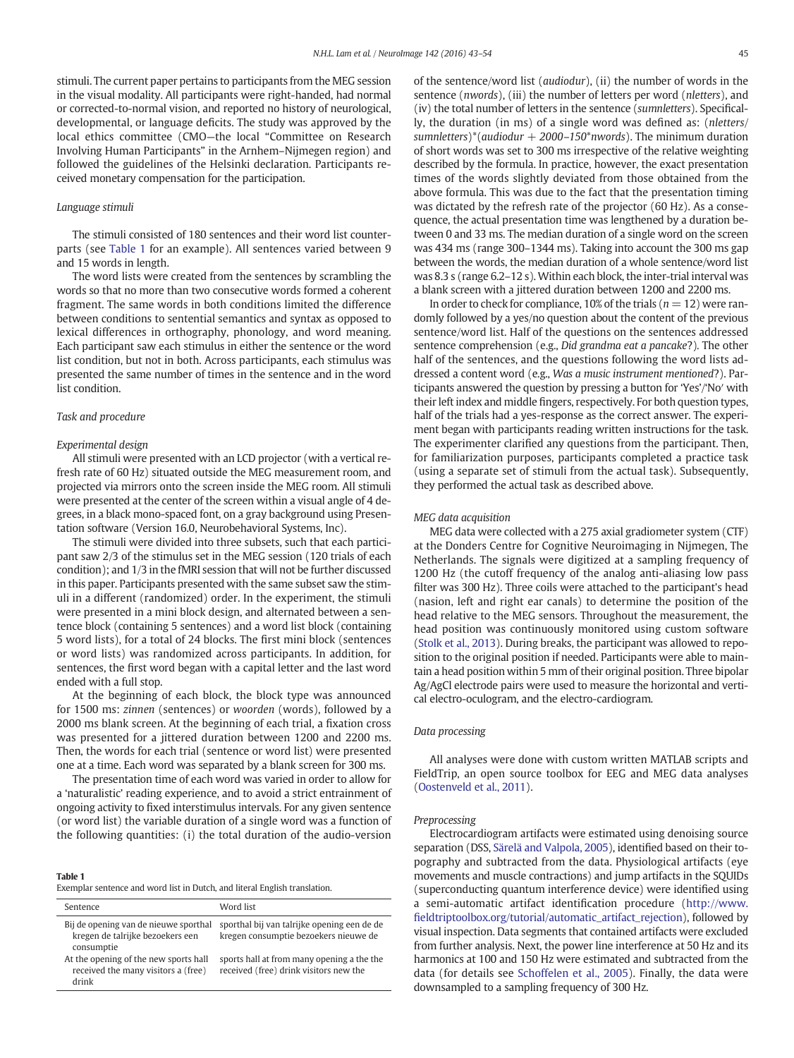stimuli. The current paper pertains to participants from the MEG session in the visual modality. All participants were right-handed, had normal or corrected-to-normal vision, and reported no history of neurological, developmental, or language deficits. The study was approved by the local ethics committee (CMO—the local "Committee on Research Involving Human Participants" in the Arnhem–Nijmegen region) and followed the guidelines of the Helsinki declaration. Participants received monetary compensation for the participation.

#### Language stimuli

The stimuli consisted of 180 sentences and their word list counterparts (see Table 1 for an example). All sentences varied between 9 and 15 words in length.

The word lists were created from the sentences by scrambling the words so that no more than two consecutive words formed a coherent fragment. The same words in both conditions limited the difference between conditions to sentential semantics and syntax as opposed to lexical differences in orthography, phonology, and word meaning. Each participant saw each stimulus in either the sentence or the word list condition, but not in both. Across participants, each stimulus was presented the same number of times in the sentence and in the word list condition.

### Task and procedure

#### Experimental design

All stimuli were presented with an LCD projector (with a vertical refresh rate of 60 Hz) situated outside the MEG measurement room, and projected via mirrors onto the screen inside the MEG room. All stimuli were presented at the center of the screen within a visual angle of 4 degrees, in a black mono-spaced font, on a gray background using Presentation software (Version 16.0, Neurobehavioral Systems, Inc).

The stimuli were divided into three subsets, such that each participant saw 2/3 of the stimulus set in the MEG session (120 trials of each condition); and 1/3 in the fMRI session that will not be further discussed in this paper. Participants presented with the same subset saw the stimuli in a different (randomized) order. In the experiment, the stimuli were presented in a mini block design, and alternated between a sentence block (containing 5 sentences) and a word list block (containing 5 word lists), for a total of 24 blocks. The first mini block (sentences or word lists) was randomized across participants. In addition, for sentences, the first word began with a capital letter and the last word ended with a full stop.

At the beginning of each block, the block type was announced for 1500 ms: zinnen (sentences) or woorden (words), followed by a 2000 ms blank screen. At the beginning of each trial, a fixation cross was presented for a jittered duration between 1200 and 2200 ms. Then, the words for each trial (sentence or word list) were presented one at a time. Each word was separated by a blank screen for 300 ms.

The presentation time of each word was varied in order to allow for a 'naturalistic' reading experience, and to avoid a strict entrainment of ongoing activity to fixed interstimulus intervals. For any given sentence (or word list) the variable duration of a single word was a function of the following quantities: (i) the total duration of the audio-version

#### Table 1

Exemplar sentence and word list in Dutch, and literal English translation.

| Sentence                                                                                | Word list                                                                            |
|-----------------------------------------------------------------------------------------|--------------------------------------------------------------------------------------|
| Bij de opening van de nieuwe sporthal<br>kregen de talrijke bezoekers een<br>consumptie | sporthal bij van talrijke opening een de de<br>kregen consumptie bezoekers nieuwe de |
| At the opening of the new sports hall<br>received the many visitors a (free)<br>drink   | sports hall at from many opening a the the<br>received (free) drink visitors new the |

of the sentence/word list (audiodur), (ii) the number of words in the sentence (*nwords*), (iii) the number of letters per word (*nletters*), and (iv) the total number of letters in the sentence (sumnletters). Specifically, the duration (in ms) of a single word was defined as: (nletters/ sumnletters)\*(audiodur  $+$  2000–150\*nwords). The minimum duration of short words was set to 300 ms irrespective of the relative weighting described by the formula. In practice, however, the exact presentation times of the words slightly deviated from those obtained from the above formula. This was due to the fact that the presentation timing was dictated by the refresh rate of the projector (60 Hz). As a consequence, the actual presentation time was lengthened by a duration between 0 and 33 ms. The median duration of a single word on the screen was 434 ms (range 300–1344 ms). Taking into account the 300 ms gap between the words, the median duration of a whole sentence/word list was 8.3 s (range 6.2–12 s). Within each block, the inter-trial interval was a blank screen with a jittered duration between 1200 and 2200 ms.

In order to check for compliance, 10% of the trials ( $n = 12$ ) were randomly followed by a yes/no question about the content of the previous sentence/word list. Half of the questions on the sentences addressed sentence comprehension (e.g., Did grandma eat a pancake?). The other half of the sentences, and the questions following the word lists addressed a content word (e.g., Was a music instrument mentioned?). Participants answered the question by pressing a button for 'Yes'/'No′ with their left index and middle fingers, respectively. For both question types, half of the trials had a yes-response as the correct answer. The experiment began with participants reading written instructions for the task. The experimenter clarified any questions from the participant. Then, for familiarization purposes, participants completed a practice task (using a separate set of stimuli from the actual task). Subsequently, they performed the actual task as described above.

#### MEG data acquisition

MEG data were collected with a 275 axial gradiometer system (CTF) at the Donders Centre for Cognitive Neuroimaging in Nijmegen, The Netherlands. The signals were digitized at a sampling frequency of 1200 Hz (the cutoff frequency of the analog anti-aliasing low pass filter was 300 Hz). Three coils were attached to the participant's head (nasion, left and right ear canals) to determine the position of the head relative to the MEG sensors. Throughout the measurement, the head position was continuously monitored using custom software [\(Stolk et al., 2013](#page-11-0)). During breaks, the participant was allowed to reposition to the original position if needed. Participants were able to maintain a head position within 5 mm of their original position. Three bipolar Ag/AgCl electrode pairs were used to measure the horizontal and vertical electro-oculogram, and the electro-cardiogram.

#### Data processing

All analyses were done with custom written MATLAB scripts and FieldTrip, an open source toolbox for EEG and MEG data analyses [\(Oostenveld et al., 2011\)](#page-11-0).

#### Preprocessing

Electrocardiogram artifacts were estimated using denoising source separation (DSS, [Särelä and Valpola, 2005](#page-11-0)), identified based on their topography and subtracted from the data. Physiological artifacts (eye movements and muscle contractions) and jump artifacts in the SQUIDs (superconducting quantum interference device) were identified using a semi-automatic artifact identification procedure ([http://www.](http://www.fieldtriptoolbox.org/tutorial/automatic_artifact_rejection) fi[eldtriptoolbox.org/tutorial/automatic\\_artifact\\_rejection\)](http://www.fieldtriptoolbox.org/tutorial/automatic_artifact_rejection), followed by visual inspection. Data segments that contained artifacts were excluded from further analysis. Next, the power line interference at 50 Hz and its harmonics at 100 and 150 Hz were estimated and subtracted from the data (for details see [Schoffelen et al., 2005\)](#page-11-0). Finally, the data were downsampled to a sampling frequency of 300 Hz.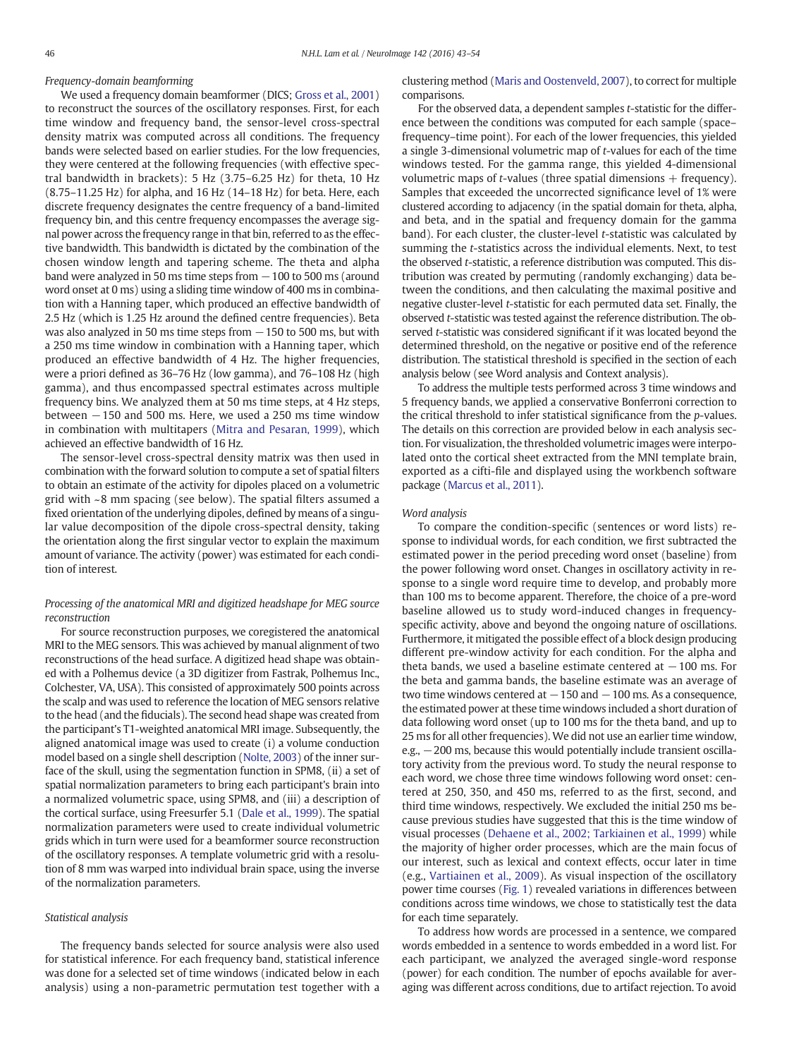# Frequency-domain beamforming

We used a frequency domain beamformer (DICS; [Gross et al., 2001](#page-10-0)) to reconstruct the sources of the oscillatory responses. First, for each time window and frequency band, the sensor-level cross-spectral density matrix was computed across all conditions. The frequency bands were selected based on earlier studies. For the low frequencies, they were centered at the following frequencies (with effective spectral bandwidth in brackets): 5 Hz (3.75–6.25 Hz) for theta, 10 Hz (8.75–11.25 Hz) for alpha, and 16 Hz (14–18 Hz) for beta. Here, each discrete frequency designates the centre frequency of a band-limited frequency bin, and this centre frequency encompasses the average signal power across the frequency range in that bin, referred to as the effective bandwidth. This bandwidth is dictated by the combination of the chosen window length and tapering scheme. The theta and alpha band were analyzed in 50 ms time steps from −100 to 500 ms (around word onset at 0 ms) using a sliding time window of 400 ms in combination with a Hanning taper, which produced an effective bandwidth of 2.5 Hz (which is 1.25 Hz around the defined centre frequencies). Beta was also analyzed in 50 ms time steps from  $-150$  to 500 ms, but with a 250 ms time window in combination with a Hanning taper, which produced an effective bandwidth of 4 Hz. The higher frequencies, were a priori defined as 36–76 Hz (low gamma), and 76–108 Hz (high gamma), and thus encompassed spectral estimates across multiple frequency bins. We analyzed them at 50 ms time steps, at 4 Hz steps, between  $-150$  and 500 ms. Here, we used a 250 ms time window in combination with multitapers [\(Mitra and Pesaran, 1999\)](#page-11-0), which achieved an effective bandwidth of 16 Hz.

The sensor-level cross-spectral density matrix was then used in combination with the forward solution to compute a set of spatial filters to obtain an estimate of the activity for dipoles placed on a volumetric grid with ~8 mm spacing (see below). The spatial filters assumed a fixed orientation of the underlying dipoles, defined by means of a singular value decomposition of the dipole cross-spectral density, taking the orientation along the first singular vector to explain the maximum amount of variance. The activity (power) was estimated for each condition of interest.

# Processing of the anatomical MRI and digitized headshape for MEG source reconstruction

For source reconstruction purposes, we coregistered the anatomical MRI to the MEG sensors. This was achieved by manual alignment of two reconstructions of the head surface. A digitized head shape was obtained with a Polhemus device (a 3D digitizer from Fastrak, Polhemus Inc., Colchester, VA, USA). This consisted of approximately 500 points across the scalp and was used to reference the location of MEG sensors relative to the head (and the fiducials). The second head shape was created from the participant's T1-weighted anatomical MRI image. Subsequently, the aligned anatomical image was used to create (i) a volume conduction model based on a single shell description [\(Nolte, 2003\)](#page-11-0) of the inner surface of the skull, using the segmentation function in SPM8, (ii) a set of spatial normalization parameters to bring each participant's brain into a normalized volumetric space, using SPM8, and (iii) a description of the cortical surface, using Freesurfer 5.1 ([Dale et al., 1999\)](#page-10-0). The spatial normalization parameters were used to create individual volumetric grids which in turn were used for a beamformer source reconstruction of the oscillatory responses. A template volumetric grid with a resolution of 8 mm was warped into individual brain space, using the inverse of the normalization parameters.

# Statistical analysis

The frequency bands selected for source analysis were also used for statistical inference. For each frequency band, statistical inference was done for a selected set of time windows (indicated below in each analysis) using a non-parametric permutation test together with a clustering method [\(Maris and Oostenveld, 2007\)](#page-11-0), to correct for multiple comparisons.

For the observed data, a dependent samples t-statistic for the difference between the conditions was computed for each sample (space– frequency–time point). For each of the lower frequencies, this yielded a single 3-dimensional volumetric map of t-values for each of the time windows tested. For the gamma range, this yielded 4-dimensional volumetric maps of *t*-values (three spatial dimensions  $+$  frequency). Samples that exceeded the uncorrected significance level of 1% were clustered according to adjacency (in the spatial domain for theta, alpha, and beta, and in the spatial and frequency domain for the gamma band). For each cluster, the cluster-level t-statistic was calculated by summing the t-statistics across the individual elements. Next, to test the observed t-statistic, a reference distribution was computed. This distribution was created by permuting (randomly exchanging) data between the conditions, and then calculating the maximal positive and negative cluster-level t-statistic for each permuted data set. Finally, the observed t-statistic was tested against the reference distribution. The observed t-statistic was considered significant if it was located beyond the determined threshold, on the negative or positive end of the reference distribution. The statistical threshold is specified in the section of each analysis below (see Word analysis and Context analysis).

To address the multiple tests performed across 3 time windows and 5 frequency bands, we applied a conservative Bonferroni correction to the critical threshold to infer statistical significance from the p-values. The details on this correction are provided below in each analysis section. For visualization, the thresholded volumetric images were interpolated onto the cortical sheet extracted from the MNI template brain, exported as a cifti-file and displayed using the workbench software package [\(Marcus et al., 2011\)](#page-11-0).

#### Word analysis

To compare the condition-specific (sentences or word lists) response to individual words, for each condition, we first subtracted the estimated power in the period preceding word onset (baseline) from the power following word onset. Changes in oscillatory activity in response to a single word require time to develop, and probably more than 100 ms to become apparent. Therefore, the choice of a pre-word baseline allowed us to study word-induced changes in frequencyspecific activity, above and beyond the ongoing nature of oscillations. Furthermore, it mitigated the possible effect of a block design producing different pre-window activity for each condition. For the alpha and theta bands, we used a baseline estimate centered at  $-100$  ms. For the beta and gamma bands, the baseline estimate was an average of two time windows centered at  $-150$  and  $-100$  ms. As a consequence, the estimated power at these time windows included a short duration of data following word onset (up to 100 ms for the theta band, and up to 25 ms for all other frequencies). We did not use an earlier time window, e.g.,  $-200$  ms, because this would potentially include transient oscillatory activity from the previous word. To study the neural response to each word, we chose three time windows following word onset: centered at 250, 350, and 450 ms, referred to as the first, second, and third time windows, respectively. We excluded the initial 250 ms because previous studies have suggested that this is the time window of visual processes [\(Dehaene et al., 2002; Tarkiainen et al., 1999\)](#page-10-0) while the majority of higher order processes, which are the main focus of our interest, such as lexical and context effects, occur later in time (e.g., [Vartiainen et al., 2009\)](#page-11-0). As visual inspection of the oscillatory power time courses ([Fig. 1](#page-4-0)) revealed variations in differences between conditions across time windows, we chose to statistically test the data for each time separately.

To address how words are processed in a sentence, we compared words embedded in a sentence to words embedded in a word list. For each participant, we analyzed the averaged single-word response (power) for each condition. The number of epochs available for averaging was different across conditions, due to artifact rejection. To avoid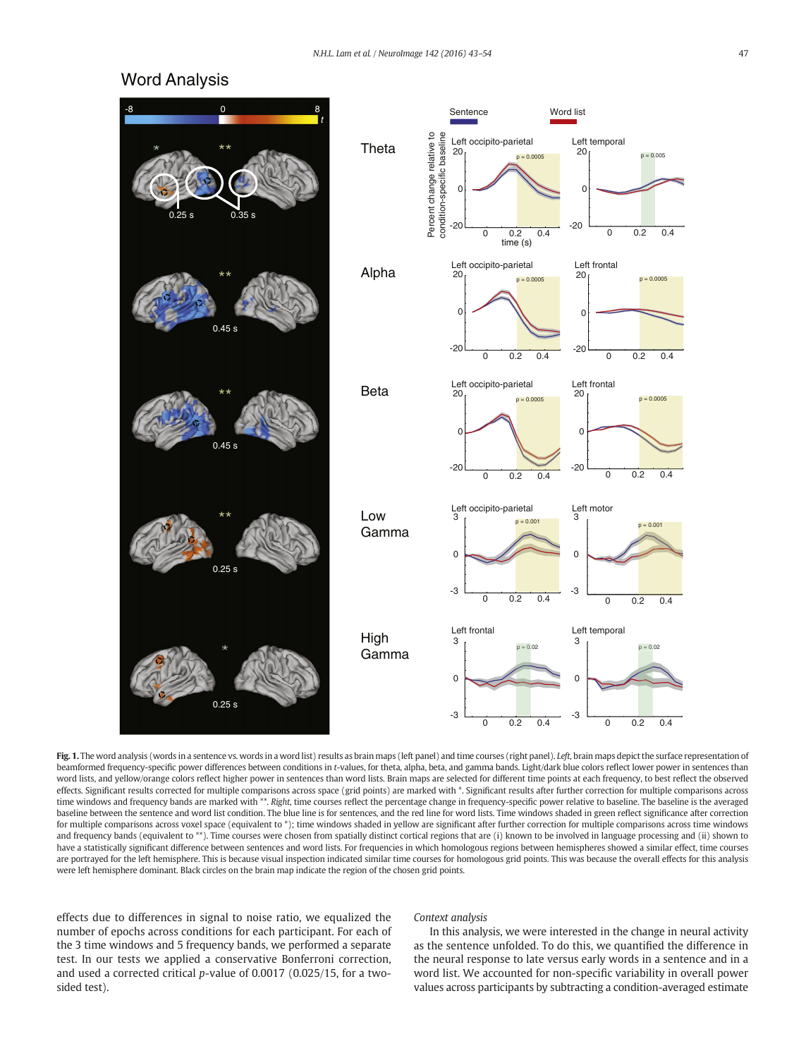# <span id="page-4-0"></span>Word Analysis



Fig. 1. The word analysis (words in a sentence vs. words in a word list) results as brain maps (left panel) and time courses (right panel). Left, brain maps depict the surface representation of beamformed frequency-specific power differences between conditions in t-values, for theta, alpha, beta, and gamma bands. Light/dark blue colors reflect lower power in sentences than word lists, and yellow/orange colors reflect higher power in sentences than word lists. Brain maps are selected for different time points at each frequency, to best reflect the observed effects. Significant results corrected for multiple comparisons across space (grid points) are marked with \*. Significant results after further correction for multiple comparisons across time windows and frequency bands are marked with \*\*. Right, time courses reflect the percentage change in frequency-specific power relative to baseline. The baseline is the averaged baseline between the sentence and word list condition. The blue line is for sentences, and the red line for word lists. Time windows shaded in green reflect significance after correction for multiple comparisons across voxel space (equivalent to \*); time windows shaded in yellow are significant after further correction for multiple comparisons across time windows and frequency bands (equivalent to \*\*). Time courses were chosen from spatially distinct cortical regions that are (i) known to be involved in language processing and (ii) shown to have a statistically significant difference between sentences and word lists. For frequencies in which homologous regions between hemispheres showed a similar effect, time courses are portrayed for the left hemisphere. This is because visual inspection indicated similar time courses for homologous grid points. This was because the overall effects for this analysis were left hemisphere dominant. Black circles on the brain map indicate the region of the chosen grid points.

effects due to differences in signal to noise ratio, we equalized the number of epochs across conditions for each participant. For each of the 3 time windows and 5 frequency bands, we performed a separate test. In our tests we applied a conservative Bonferroni correction, and used a corrected critical p-value of 0.0017 (0.025/15, for a twosided test).

### Context analysis

In this analysis, we were interested in the change in neural activity as the sentence unfolded. To do this, we quantified the difference in the neural response to late versus early words in a sentence and in a word list. We accounted for non-specific variability in overall power values across participants by subtracting a condition-averaged estimate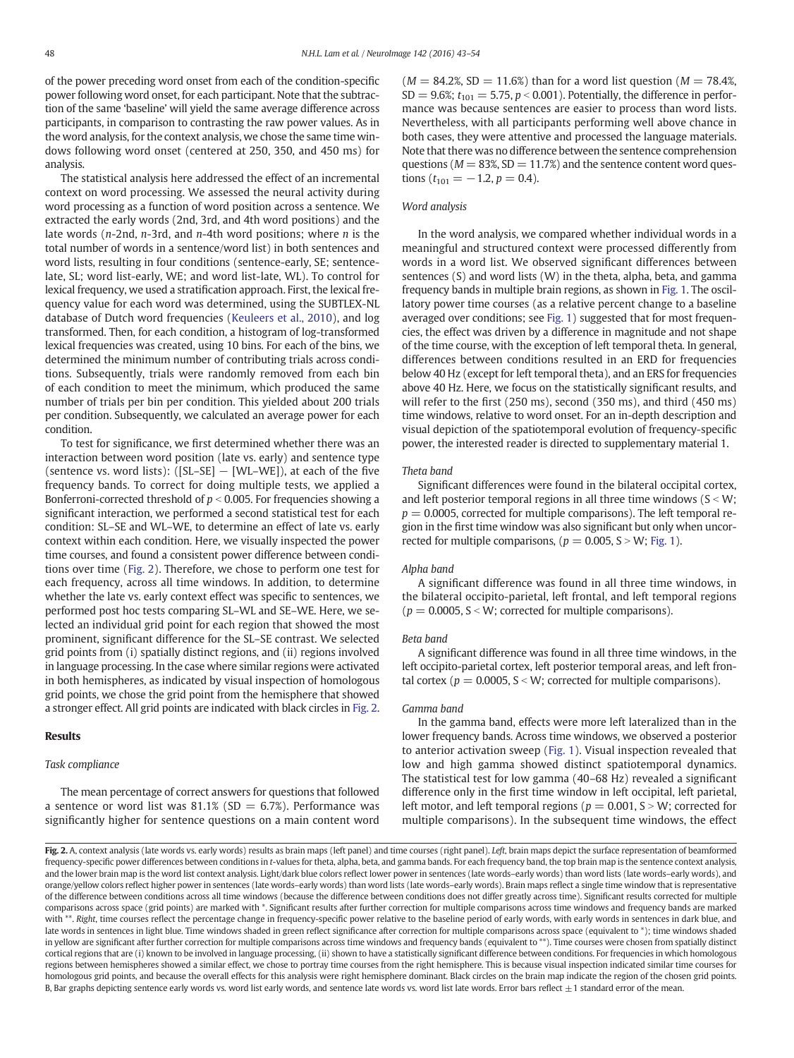<span id="page-5-0"></span>of the power preceding word onset from each of the condition-specific power following word onset, for each participant. Note that the subtraction of the same 'baseline' will yield the same average difference across participants, in comparison to contrasting the raw power values. As in the word analysis, for the context analysis, we chose the same time windows following word onset (centered at 250, 350, and 450 ms) for analysis.

The statistical analysis here addressed the effect of an incremental context on word processing. We assessed the neural activity during word processing as a function of word position across a sentence. We extracted the early words (2nd, 3rd, and 4th word positions) and the late words ( $n$ -2nd,  $n$ -3rd, and  $n$ -4th word positions; where  $n$  is the total number of words in a sentence/word list) in both sentences and word lists, resulting in four conditions (sentence-early, SE; sentencelate, SL; word list-early, WE; and word list-late, WL). To control for lexical frequency, we used a stratification approach. First, the lexical frequency value for each word was determined, using the SUBTLEX-NL database of Dutch word frequencies ([Keuleers et al., 2010](#page-11-0)), and log transformed. Then, for each condition, a histogram of log-transformed lexical frequencies was created, using 10 bins. For each of the bins, we determined the minimum number of contributing trials across conditions. Subsequently, trials were randomly removed from each bin of each condition to meet the minimum, which produced the same number of trials per bin per condition. This yielded about 200 trials per condition. Subsequently, we calculated an average power for each condition.

To test for significance, we first determined whether there was an interaction between word position (late vs. early) and sentence type (sentence vs. word lists):  $([SL-SE] - [WL-WE]$ ), at each of the five frequency bands. To correct for doing multiple tests, we applied a Bonferroni-corrected threshold of  $p < 0.005$ . For frequencies showing a significant interaction, we performed a second statistical test for each condition: SL–SE and WL–WE, to determine an effect of late vs. early context within each condition. Here, we visually inspected the power time courses, and found a consistent power difference between conditions over time (Fig. 2). Therefore, we chose to perform one test for each frequency, across all time windows. In addition, to determine whether the late vs. early context effect was specific to sentences, we performed post hoc tests comparing SL–WL and SE–WE. Here, we selected an individual grid point for each region that showed the most prominent, significant difference for the SL–SE contrast. We selected grid points from (i) spatially distinct regions, and (ii) regions involved in language processing. In the case where similar regions were activated in both hemispheres, as indicated by visual inspection of homologous grid points, we chose the grid point from the hemisphere that showed a stronger effect. All grid points are indicated with black circles in Fig. 2.

#### Results

#### Task compliance

The mean percentage of correct answers for questions that followed a sentence or word list was  $81.1\%$  (SD = 6.7%). Performance was significantly higher for sentence questions on a main content word  $(M = 84.2\%, SD = 11.6\%)$  than for a word list question  $(M = 78.4\%)$  $SD = 9.6\%; t_{101} = 5.75, p < 0.001$ ). Potentially, the difference in performance was because sentences are easier to process than word lists. Nevertheless, with all participants performing well above chance in both cases, they were attentive and processed the language materials. Note that there was no difference between the sentence comprehension questions ( $M = 83\%$ , SD = 11.7%) and the sentence content word questions ( $t_{101} = -1.2$ ,  $p = 0.4$ ).

### Word analysis

In the word analysis, we compared whether individual words in a meaningful and structured context were processed differently from words in a word list. We observed significant differences between sentences (S) and word lists (W) in the theta, alpha, beta, and gamma frequency bands in multiple brain regions, as shown in [Fig. 1](#page-4-0). The oscillatory power time courses (as a relative percent change to a baseline averaged over conditions; see [Fig. 1](#page-4-0)) suggested that for most frequencies, the effect was driven by a difference in magnitude and not shape of the time course, with the exception of left temporal theta. In general, differences between conditions resulted in an ERD for frequencies below 40 Hz (except for left temporal theta), and an ERS for frequencies above 40 Hz. Here, we focus on the statistically significant results, and will refer to the first (250 ms), second (350 ms), and third (450 ms) time windows, relative to word onset. For an in-depth description and visual depiction of the spatiotemporal evolution of frequency-specific power, the interested reader is directed to supplementary material 1.

#### Theta band

Significant differences were found in the bilateral occipital cortex, and left posterior temporal regions in all three time windows ( $S < W$ ;  $p = 0.0005$ , corrected for multiple comparisons). The left temporal region in the first time window was also significant but only when uncorrected for multiple comparisons, ( $p = 0.005$ , S  $> W$ ; [Fig. 1\)](#page-4-0).

#### Alpha band

A significant difference was found in all three time windows, in the bilateral occipito-parietal, left frontal, and left temporal regions ( $p = 0.0005$ , S < W; corrected for multiple comparisons).

#### Beta band

A significant difference was found in all three time windows, in the left occipito-parietal cortex, left posterior temporal areas, and left frontal cortex ( $p = 0.0005$ ,  $S \le W$ ; corrected for multiple comparisons).

#### Gamma band

In the gamma band, effects were more left lateralized than in the lower frequency bands. Across time windows, we observed a posterior to anterior activation sweep ([Fig. 1](#page-4-0)). Visual inspection revealed that low and high gamma showed distinct spatiotemporal dynamics. The statistical test for low gamma (40–68 Hz) revealed a significant difference only in the first time window in left occipital, left parietal, left motor, and left temporal regions ( $p = 0.001$ , S  $>$  W; corrected for multiple comparisons). In the subsequent time windows, the effect

Fig. 2. A, context analysis (late words vs. early words) results as brain maps (left panel) and time courses (right panel). Left, brain maps depict the surface representation of beamformed frequency-specific power differences between conditions in t-values for theta, alpha, beta, and gamma bands. For each frequency band, the top brain map is the sentence context analysis, and the lower brain map is the word list context analysis. Light/dark blue colors reflect lower power in sentences (late words-early words) than word lists (late words-early words), and orange/yellow colors reflect higher power in sentences (late words–early words) than word lists (late words–early words). Brain maps reflect a single time window that is representative of the difference between conditions across all time windows (because the difference between conditions does not differ greatly across time). Significant results corrected for multiple comparisons across space (grid points) are marked with \*. Significant results after further correction for multiple comparisons across time windows and frequency bands are marked with \*\*. Right, time courses reflect the percentage change in frequency-specific power relative to the baseline period of early words, with early words in sentences in dark blue, and late words in sentences in light blue. Time windows shaded in green reflect significance after correction for multiple comparisons across space (equivalent to \*); time windows shaded in yellow are significant after further correction for multiple comparisons across time windows and frequency bands (equivalent to \*\*). Time courses were chosen from spatially distinct cortical regions that are (i) known to be involved in language processing, (ii) shown to have a statistically significant difference between conditions. For frequencies in which homologous regions between hemispheres showed a similar effect, we chose to portray time courses from the right hemisphere. This is because visual inspection indicated similar time courses for homologous grid points, and because the overall effects for this analysis were right hemisphere dominant. Black circles on the brain map indicate the region of the chosen grid points. B. Bar graphs depicting sentence early words vs. word list early words, and sentence late words vs. word list late words. Error bars reflect +1 standard error of the mean.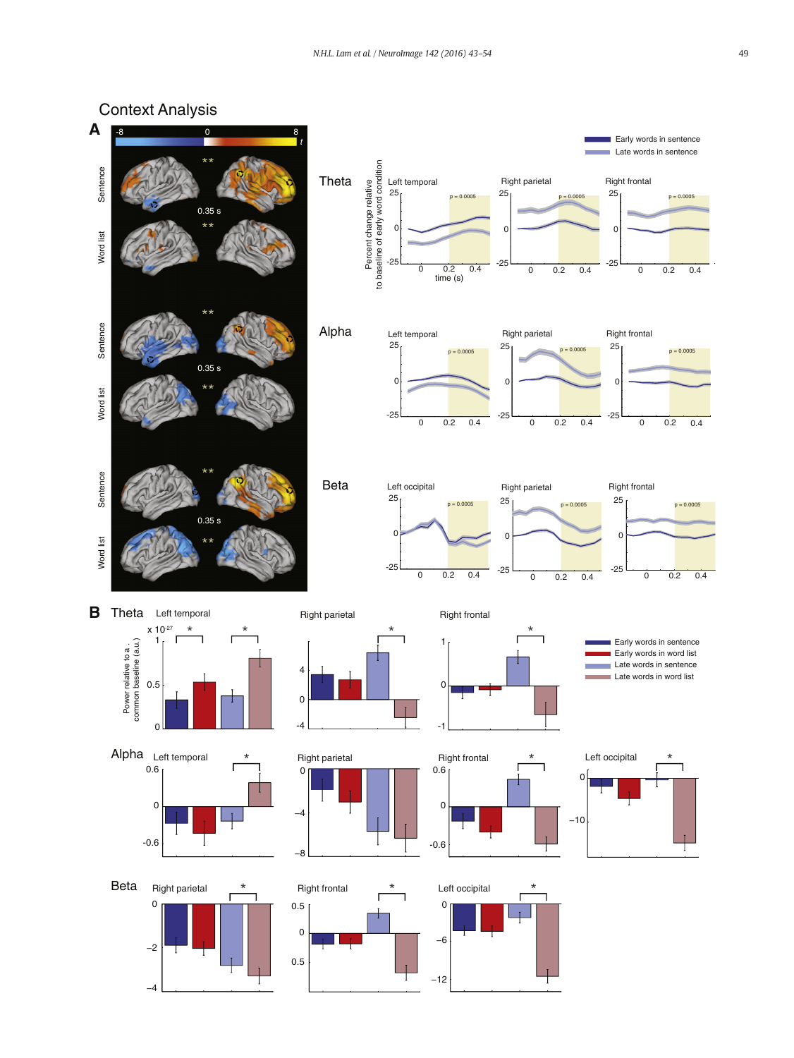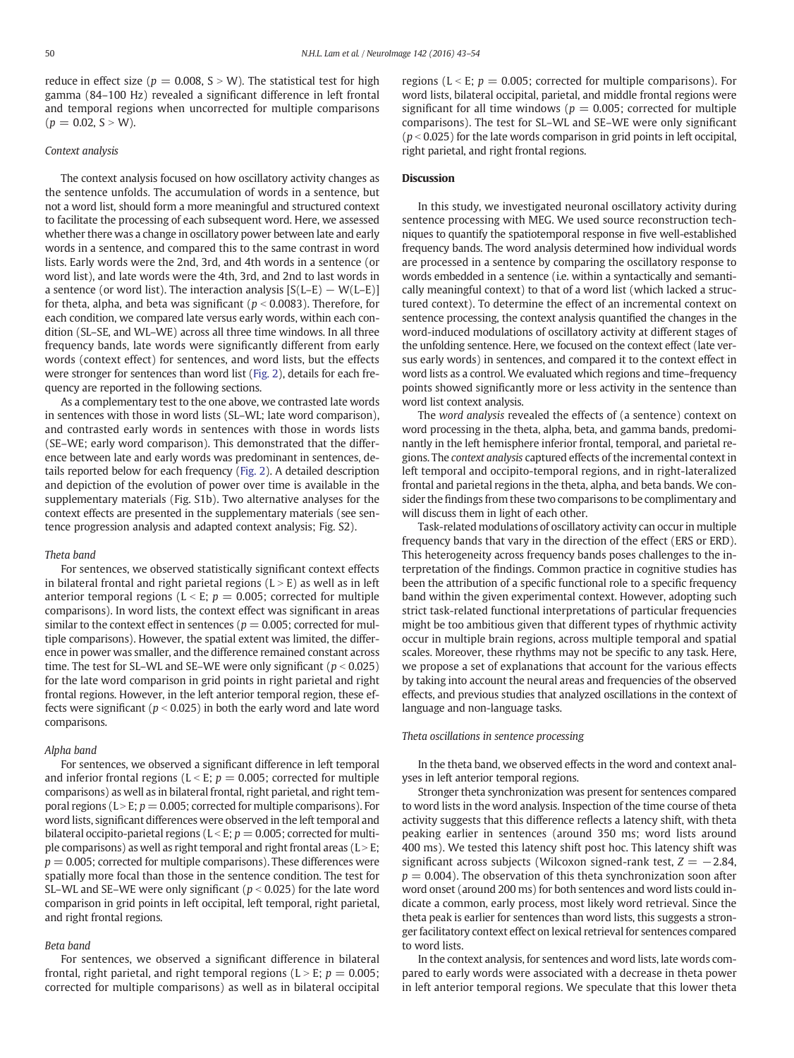reduce in effect size ( $p = 0.008$ , S  $> W$ ). The statistical test for high gamma (84–100 Hz) revealed a significant difference in left frontal and temporal regions when uncorrected for multiple comparisons  $(p = 0.02, S > W)$ .

#### Context analysis

The context analysis focused on how oscillatory activity changes as the sentence unfolds. The accumulation of words in a sentence, but not a word list, should form a more meaningful and structured context to facilitate the processing of each subsequent word. Here, we assessed whether there was a change in oscillatory power between late and early words in a sentence, and compared this to the same contrast in word lists. Early words were the 2nd, 3rd, and 4th words in a sentence (or word list), and late words were the 4th, 3rd, and 2nd to last words in a sentence (or word list). The interaction analysis  $[S(L-E) - W(L-E)]$ for theta, alpha, and beta was significant ( $p < 0.0083$ ). Therefore, for each condition, we compared late versus early words, within each condition (SL–SE, and WL–WE) across all three time windows. In all three frequency bands, late words were significantly different from early words (context effect) for sentences, and word lists, but the effects were stronger for sentences than word list [\(Fig. 2\)](#page-5-0), details for each frequency are reported in the following sections.

As a complementary test to the one above, we contrasted late words in sentences with those in word lists (SL–WL; late word comparison), and contrasted early words in sentences with those in words lists (SE–WE; early word comparison). This demonstrated that the difference between late and early words was predominant in sentences, details reported below for each frequency [\(Fig. 2](#page-5-0)). A detailed description and depiction of the evolution of power over time is available in the supplementary materials (Fig. S1b). Two alternative analyses for the context effects are presented in the supplementary materials (see sentence progression analysis and adapted context analysis; Fig. S2).

#### Theta band

For sentences, we observed statistically significant context effects in bilateral frontal and right parietal regions  $(L > E)$  as well as in left anterior temporal regions ( $L < E$ ;  $p = 0.005$ ; corrected for multiple comparisons). In word lists, the context effect was significant in areas similar to the context effect in sentences ( $p = 0.005$ ; corrected for multiple comparisons). However, the spatial extent was limited, the difference in power was smaller, and the difference remained constant across time. The test for SL–WL and SE–WE were only significant ( $p < 0.025$ ) for the late word comparison in grid points in right parietal and right frontal regions. However, in the left anterior temporal region, these effects were significant ( $p < 0.025$ ) in both the early word and late word comparisons.

### Alpha band

For sentences, we observed a significant difference in left temporal and inferior frontal regions ( $L < E$ ;  $p = 0.005$ ; corrected for multiple comparisons) as well as in bilateral frontal, right parietal, and right temporal regions (L  $>E$ ;  $p = 0.005$ ; corrected for multiple comparisons). For word lists, significant differences were observed in the left temporal and bilateral occipito-parietal regions ( $L < E$ ;  $p = 0.005$ ; corrected for multiple comparisons) as well as right temporal and right frontal areas ( $L > E$ ;  $p = 0.005$ ; corrected for multiple comparisons). These differences were spatially more focal than those in the sentence condition. The test for SL–WL and SE–WE were only significant ( $p < 0.025$ ) for the late word comparison in grid points in left occipital, left temporal, right parietal, and right frontal regions.

#### Beta band

For sentences, we observed a significant difference in bilateral frontal, right parietal, and right temporal regions ( $L > E$ ;  $p = 0.005$ ; corrected for multiple comparisons) as well as in bilateral occipital

regions (L < E;  $p = 0.005$ ; corrected for multiple comparisons). For word lists, bilateral occipital, parietal, and middle frontal regions were significant for all time windows ( $p = 0.005$ ; corrected for multiple comparisons). The test for SL–WL and SE–WE were only significant ( $p$  < 0.025) for the late words comparison in grid points in left occipital, right parietal, and right frontal regions.

### **Discussion**

In this study, we investigated neuronal oscillatory activity during sentence processing with MEG. We used source reconstruction techniques to quantify the spatiotemporal response in five well-established frequency bands. The word analysis determined how individual words are processed in a sentence by comparing the oscillatory response to words embedded in a sentence (i.e. within a syntactically and semantically meaningful context) to that of a word list (which lacked a structured context). To determine the effect of an incremental context on sentence processing, the context analysis quantified the changes in the word-induced modulations of oscillatory activity at different stages of the unfolding sentence. Here, we focused on the context effect (late versus early words) in sentences, and compared it to the context effect in word lists as a control. We evaluated which regions and time–frequency points showed significantly more or less activity in the sentence than word list context analysis.

The word analysis revealed the effects of (a sentence) context on word processing in the theta, alpha, beta, and gamma bands, predominantly in the left hemisphere inferior frontal, temporal, and parietal regions. The context analysis captured effects of the incremental context in left temporal and occipito-temporal regions, and in right-lateralized frontal and parietal regions in the theta, alpha, and beta bands. We consider the findings from these two comparisons to be complimentary and will discuss them in light of each other.

Task-related modulations of oscillatory activity can occur in multiple frequency bands that vary in the direction of the effect (ERS or ERD). This heterogeneity across frequency bands poses challenges to the interpretation of the findings. Common practice in cognitive studies has been the attribution of a specific functional role to a specific frequency band within the given experimental context. However, adopting such strict task-related functional interpretations of particular frequencies might be too ambitious given that different types of rhythmic activity occur in multiple brain regions, across multiple temporal and spatial scales. Moreover, these rhythms may not be specific to any task. Here, we propose a set of explanations that account for the various effects by taking into account the neural areas and frequencies of the observed effects, and previous studies that analyzed oscillations in the context of language and non-language tasks.

#### Theta oscillations in sentence processing

In the theta band, we observed effects in the word and context analyses in left anterior temporal regions.

Stronger theta synchronization was present for sentences compared to word lists in the word analysis. Inspection of the time course of theta activity suggests that this difference reflects a latency shift, with theta peaking earlier in sentences (around 350 ms; word lists around 400 ms). We tested this latency shift post hoc. This latency shift was significant across subjects (Wilcoxon signed-rank test,  $Z = -2.84$ ,  $p = 0.004$ ). The observation of this theta synchronization soon after word onset (around 200 ms) for both sentences and word lists could indicate a common, early process, most likely word retrieval. Since the theta peak is earlier for sentences than word lists, this suggests a stronger facilitatory context effect on lexical retrieval for sentences compared to word lists.

In the context analysis, for sentences and word lists, late words compared to early words were associated with a decrease in theta power in left anterior temporal regions. We speculate that this lower theta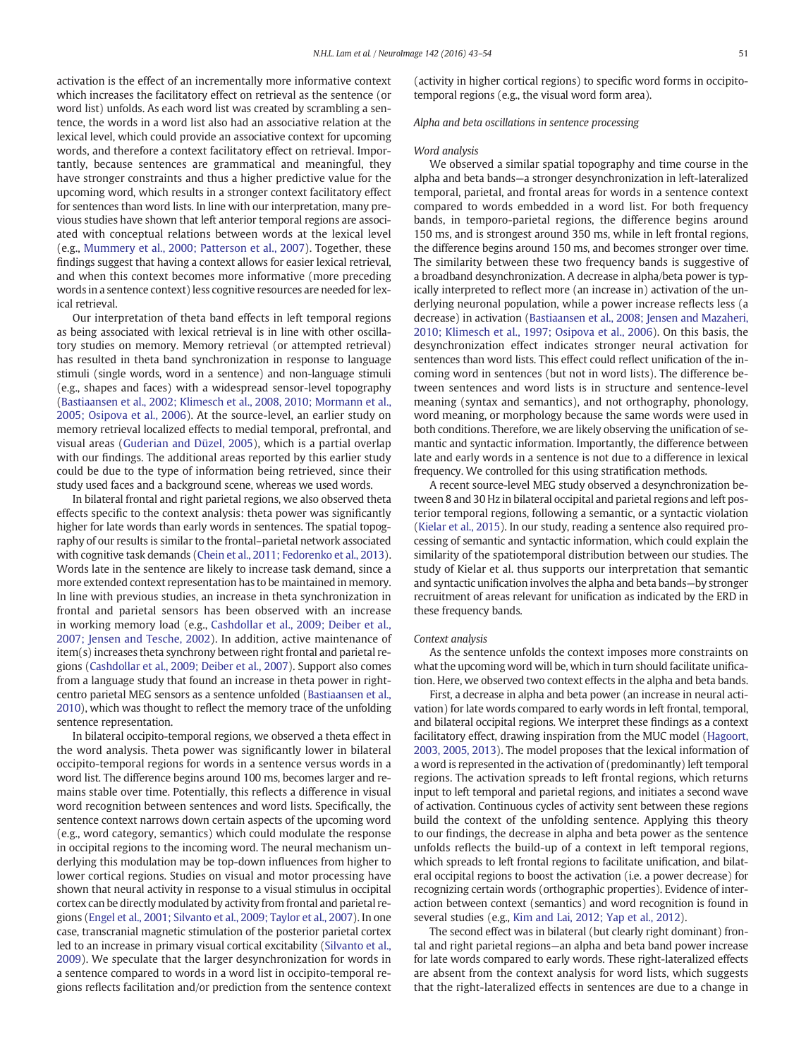activation is the effect of an incrementally more informative context which increases the facilitatory effect on retrieval as the sentence (or word list) unfolds. As each word list was created by scrambling a sentence, the words in a word list also had an associative relation at the lexical level, which could provide an associative context for upcoming words, and therefore a context facilitatory effect on retrieval. Importantly, because sentences are grammatical and meaningful, they have stronger constraints and thus a higher predictive value for the upcoming word, which results in a stronger context facilitatory effect for sentences than word lists. In line with our interpretation, many previous studies have shown that left anterior temporal regions are associated with conceptual relations between words at the lexical level (e.g., [Mummery et al., 2000; Patterson et al., 2007\)](#page-11-0). Together, these findings suggest that having a context allows for easier lexical retrieval, and when this context becomes more informative (more preceding words in a sentence context) less cognitive resources are needed for lexical retrieval.

Our interpretation of theta band effects in left temporal regions as being associated with lexical retrieval is in line with other oscillatory studies on memory. Memory retrieval (or attempted retrieval) has resulted in theta band synchronization in response to language stimuli (single words, word in a sentence) and non-language stimuli (e.g., shapes and faces) with a widespread sensor-level topography [\(Bastiaansen et al., 2002; Klimesch et al., 2008, 2010; Mormann et al.,](#page-10-0) [2005; Osipova et al., 2006\)](#page-10-0). At the source-level, an earlier study on memory retrieval localized effects to medial temporal, prefrontal, and visual areas [\(Guderian and Düzel, 2005\)](#page-10-0), which is a partial overlap with our findings. The additional areas reported by this earlier study could be due to the type of information being retrieved, since their study used faces and a background scene, whereas we used words.

In bilateral frontal and right parietal regions, we also observed theta effects specific to the context analysis: theta power was significantly higher for late words than early words in sentences. The spatial topography of our results is similar to the frontal–parietal network associated with cognitive task demands [\(Chein et al., 2011; Fedorenko et al., 2013](#page-10-0)). Words late in the sentence are likely to increase task demand, since a more extended context representation has to be maintained in memory. In line with previous studies, an increase in theta synchronization in frontal and parietal sensors has been observed with an increase in working memory load (e.g., [Cashdollar et al., 2009; Deiber et al.,](#page-10-0) [2007; Jensen and Tesche, 2002\)](#page-10-0). In addition, active maintenance of item(s) increases theta synchrony between right frontal and parietal regions [\(Cashdollar et al., 2009; Deiber et al., 2007](#page-10-0)). Support also comes from a language study that found an increase in theta power in rightcentro parietal MEG sensors as a sentence unfolded ([Bastiaansen et al.,](#page-10-0) [2010](#page-10-0)), which was thought to reflect the memory trace of the unfolding sentence representation.

In bilateral occipito-temporal regions, we observed a theta effect in the word analysis. Theta power was significantly lower in bilateral occipito-temporal regions for words in a sentence versus words in a word list. The difference begins around 100 ms, becomes larger and remains stable over time. Potentially, this reflects a difference in visual word recognition between sentences and word lists. Specifically, the sentence context narrows down certain aspects of the upcoming word (e.g., word category, semantics) which could modulate the response in occipital regions to the incoming word. The neural mechanism underlying this modulation may be top-down influences from higher to lower cortical regions. Studies on visual and motor processing have shown that neural activity in response to a visual stimulus in occipital cortex can be directly modulated by activity from frontal and parietal regions ([Engel et al., 2001; Silvanto et al., 2009; Taylor et al., 2007\)](#page-10-0). In one case, transcranial magnetic stimulation of the posterior parietal cortex led to an increase in primary visual cortical excitability ([Silvanto et al.,](#page-11-0) [2009\)](#page-11-0). We speculate that the larger desynchronization for words in a sentence compared to words in a word list in occipito-temporal regions reflects facilitation and/or prediction from the sentence context

(activity in higher cortical regions) to specific word forms in occipitotemporal regions (e.g., the visual word form area).

#### Alpha and beta oscillations in sentence processing

#### Word analysis

We observed a similar spatial topography and time course in the alpha and beta bands—a stronger desynchronization in left-lateralized temporal, parietal, and frontal areas for words in a sentence context compared to words embedded in a word list. For both frequency bands, in temporo-parietal regions, the difference begins around 150 ms, and is strongest around 350 ms, while in left frontal regions, the difference begins around 150 ms, and becomes stronger over time. The similarity between these two frequency bands is suggestive of a broadband desynchronization. A decrease in alpha/beta power is typically interpreted to reflect more (an increase in) activation of the underlying neuronal population, while a power increase reflects less (a decrease) in activation [\(Bastiaansen et al., 2008; Jensen and Mazaheri,](#page-10-0) [2010; Klimesch et al., 1997; Osipova et al., 2006\)](#page-10-0). On this basis, the desynchronization effect indicates stronger neural activation for sentences than word lists. This effect could reflect unification of the incoming word in sentences (but not in word lists). The difference between sentences and word lists is in structure and sentence-level meaning (syntax and semantics), and not orthography, phonology, word meaning, or morphology because the same words were used in both conditions. Therefore, we are likely observing the unification of semantic and syntactic information. Importantly, the difference between late and early words in a sentence is not due to a difference in lexical frequency. We controlled for this using stratification methods.

A recent source-level MEG study observed a desynchronization between 8 and 30 Hz in bilateral occipital and parietal regions and left posterior temporal regions, following a semantic, or a syntactic violation [\(Kielar et al., 2015](#page-11-0)). In our study, reading a sentence also required processing of semantic and syntactic information, which could explain the similarity of the spatiotemporal distribution between our studies. The study of Kielar et al. thus supports our interpretation that semantic and syntactic unification involves the alpha and beta bands—by stronger recruitment of areas relevant for unification as indicated by the ERD in these frequency bands.

#### Context analysis

As the sentence unfolds the context imposes more constraints on what the upcoming word will be, which in turn should facilitate unification. Here, we observed two context effects in the alpha and beta bands.

First, a decrease in alpha and beta power (an increase in neural activation) for late words compared to early words in left frontal, temporal, and bilateral occipital regions. We interpret these findings as a context facilitatory effect, drawing inspiration from the MUC model ([Hagoort,](#page-10-0) [2003, 2005, 2013](#page-10-0)). The model proposes that the lexical information of a word is represented in the activation of (predominantly) left temporal regions. The activation spreads to left frontal regions, which returns input to left temporal and parietal regions, and initiates a second wave of activation. Continuous cycles of activity sent between these regions build the context of the unfolding sentence. Applying this theory to our findings, the decrease in alpha and beta power as the sentence unfolds reflects the build-up of a context in left temporal regions, which spreads to left frontal regions to facilitate unification, and bilateral occipital regions to boost the activation (i.e. a power decrease) for recognizing certain words (orthographic properties). Evidence of interaction between context (semantics) and word recognition is found in several studies (e.g., [Kim and Lai, 2012; Yap et al., 2012](#page-11-0)).

The second effect was in bilateral (but clearly right dominant) frontal and right parietal regions—an alpha and beta band power increase for late words compared to early words. These right-lateralized effects are absent from the context analysis for word lists, which suggests that the right-lateralized effects in sentences are due to a change in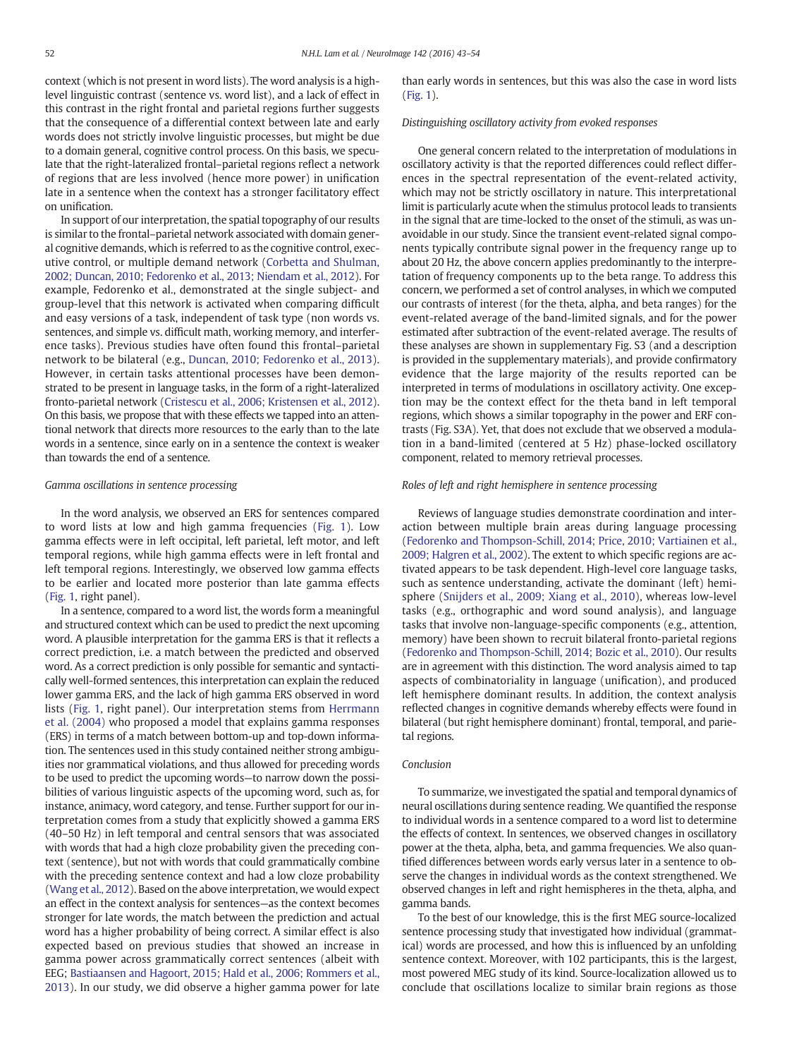context (which is not present in word lists). The word analysis is a highlevel linguistic contrast (sentence vs. word list), and a lack of effect in this contrast in the right frontal and parietal regions further suggests that the consequence of a differential context between late and early words does not strictly involve linguistic processes, but might be due to a domain general, cognitive control process. On this basis, we speculate that the right-lateralized frontal–parietal regions reflect a network of regions that are less involved (hence more power) in unification late in a sentence when the context has a stronger facilitatory effect on unification.

In support of our interpretation, the spatial topography of our results is similar to the frontal–parietal network associated with domain general cognitive demands, which is referred to as the cognitive control, executive control, or multiple demand network ([Corbetta and Shulman,](#page-10-0) [2002; Duncan, 2010; Fedorenko et al., 2013; Niendam et al., 2012](#page-10-0)). For example, Fedorenko et al., demonstrated at the single subject- and group-level that this network is activated when comparing difficult and easy versions of a task, independent of task type (non words vs. sentences, and simple vs. difficult math, working memory, and interference tasks). Previous studies have often found this frontal–parietal network to be bilateral (e.g., [Duncan, 2010; Fedorenko et al., 2013](#page-10-0)). However, in certain tasks attentional processes have been demonstrated to be present in language tasks, in the form of a right-lateralized fronto-parietal network ([Cristescu et al., 2006; Kristensen et al., 2012\)](#page-10-0). On this basis, we propose that with these effects we tapped into an attentional network that directs more resources to the early than to the late words in a sentence, since early on in a sentence the context is weaker than towards the end of a sentence.

#### Gamma oscillations in sentence processing

In the word analysis, we observed an ERS for sentences compared to word lists at low and high gamma frequencies [\(Fig. 1\)](#page-4-0). Low gamma effects were in left occipital, left parietal, left motor, and left temporal regions, while high gamma effects were in left frontal and left temporal regions. Interestingly, we observed low gamma effects to be earlier and located more posterior than late gamma effects [\(Fig. 1](#page-4-0), right panel).

In a sentence, compared to a word list, the words form a meaningful and structured context which can be used to predict the next upcoming word. A plausible interpretation for the gamma ERS is that it reflects a correct prediction, i.e. a match between the predicted and observed word. As a correct prediction is only possible for semantic and syntactically well-formed sentences, this interpretation can explain the reduced lower gamma ERS, and the lack of high gamma ERS observed in word lists [\(Fig. 1](#page-4-0), right panel). Our interpretation stems from [Herrmann](#page-11-0) [et al. \(2004\)](#page-11-0) who proposed a model that explains gamma responses (ERS) in terms of a match between bottom-up and top-down information. The sentences used in this study contained neither strong ambiguities nor grammatical violations, and thus allowed for preceding words to be used to predict the upcoming words—to narrow down the possibilities of various linguistic aspects of the upcoming word, such as, for instance, animacy, word category, and tense. Further support for our interpretation comes from a study that explicitly showed a gamma ERS (40–50 Hz) in left temporal and central sensors that was associated with words that had a high cloze probability given the preceding context (sentence), but not with words that could grammatically combine with the preceding sentence context and had a low cloze probability [\(Wang et al., 2012](#page-11-0)). Based on the above interpretation, we would expect an effect in the context analysis for sentences—as the context becomes stronger for late words, the match between the prediction and actual word has a higher probability of being correct. A similar effect is also expected based on previous studies that showed an increase in gamma power across grammatically correct sentences (albeit with EEG; [Bastiaansen and Hagoort, 2015; Hald et al., 2006; Rommers et al.,](#page-10-0) [2013](#page-10-0)). In our study, we did observe a higher gamma power for late than early words in sentences, but this was also the case in word lists [\(Fig. 1\)](#page-4-0).

#### Distinguishing oscillatory activity from evoked responses

One general concern related to the interpretation of modulations in oscillatory activity is that the reported differences could reflect differences in the spectral representation of the event-related activity, which may not be strictly oscillatory in nature. This interpretational limit is particularly acute when the stimulus protocol leads to transients in the signal that are time-locked to the onset of the stimuli, as was unavoidable in our study. Since the transient event-related signal components typically contribute signal power in the frequency range up to about 20 Hz, the above concern applies predominantly to the interpretation of frequency components up to the beta range. To address this concern, we performed a set of control analyses, in which we computed our contrasts of interest (for the theta, alpha, and beta ranges) for the event-related average of the band-limited signals, and for the power estimated after subtraction of the event-related average. The results of these analyses are shown in supplementary Fig. S3 (and a description is provided in the supplementary materials), and provide confirmatory evidence that the large majority of the results reported can be interpreted in terms of modulations in oscillatory activity. One exception may be the context effect for the theta band in left temporal regions, which shows a similar topography in the power and ERF contrasts (Fig. S3A). Yet, that does not exclude that we observed a modulation in a band-limited (centered at 5 Hz) phase-locked oscillatory component, related to memory retrieval processes.

#### Roles of left and right hemisphere in sentence processing

Reviews of language studies demonstrate coordination and interaction between multiple brain areas during language processing [\(Fedorenko and Thompson-Schill, 2014; Price, 2010;](#page-10-0) [Vartiainen et al.,](#page-11-0) [2009; Halgren et al., 2002](#page-11-0)). The extent to which specific regions are activated appears to be task dependent. High-level core language tasks, such as sentence understanding, activate the dominant (left) hemisphere ([Snijders et al., 2009; Xiang et al., 2010\)](#page-11-0), whereas low-level tasks (e.g., orthographic and word sound analysis), and language tasks that involve non-language-specific components (e.g., attention, memory) have been shown to recruit bilateral fronto-parietal regions [\(Fedorenko and Thompson-Schill, 2014; Bozic et al., 2010](#page-10-0)). Our results are in agreement with this distinction. The word analysis aimed to tap aspects of combinatoriality in language (unification), and produced left hemisphere dominant results. In addition, the context analysis reflected changes in cognitive demands whereby effects were found in bilateral (but right hemisphere dominant) frontal, temporal, and parietal regions.

### Conclusion

To summarize, we investigated the spatial and temporal dynamics of neural oscillations during sentence reading. We quantified the response to individual words in a sentence compared to a word list to determine the effects of context. In sentences, we observed changes in oscillatory power at the theta, alpha, beta, and gamma frequencies. We also quantified differences between words early versus later in a sentence to observe the changes in individual words as the context strengthened. We observed changes in left and right hemispheres in the theta, alpha, and gamma bands.

To the best of our knowledge, this is the first MEG source-localized sentence processing study that investigated how individual (grammatical) words are processed, and how this is influenced by an unfolding sentence context. Moreover, with 102 participants, this is the largest, most powered MEG study of its kind. Source-localization allowed us to conclude that oscillations localize to similar brain regions as those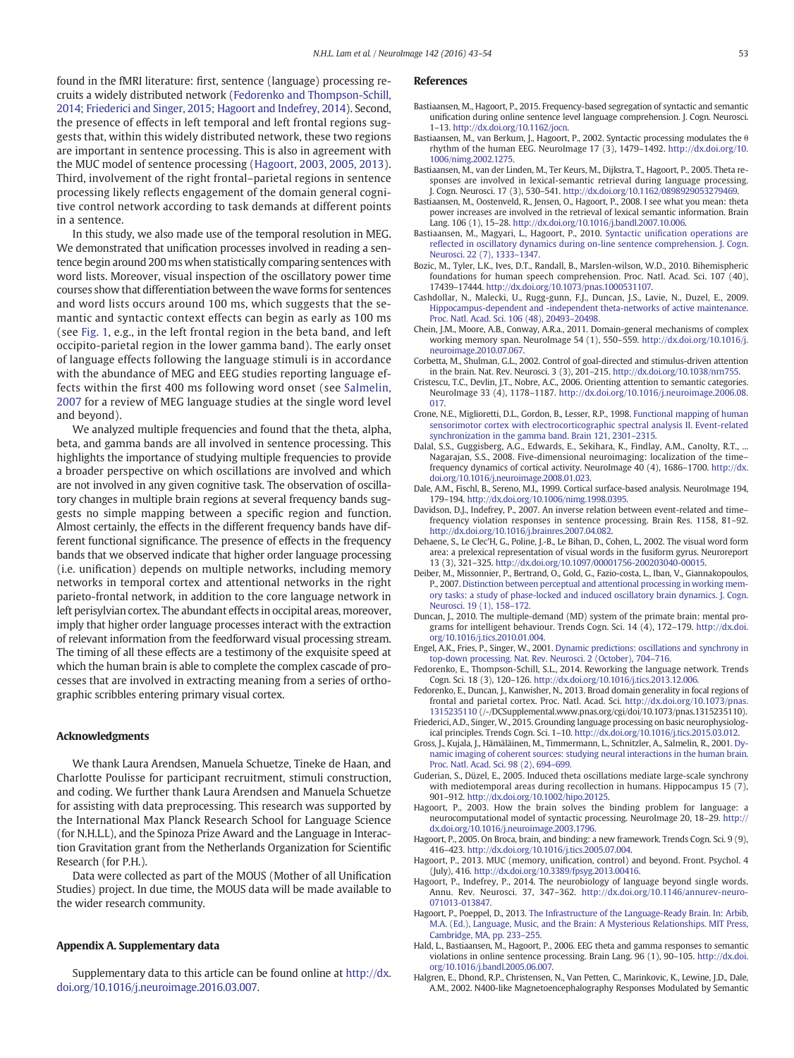<span id="page-10-0"></span>found in the fMRI literature: first, sentence (language) processing recruits a widely distributed network (Fedorenko and Thompson-Schill, 2014; Friederici and Singer, 2015; Hagoort and Indefrey, 2014). Second, the presence of effects in left temporal and left frontal regions suggests that, within this widely distributed network, these two regions are important in sentence processing. This is also in agreement with the MUC model of sentence processing (Hagoort, 2003, 2005, 2013). Third, involvement of the right frontal–parietal regions in sentence processing likely reflects engagement of the domain general cognitive control network according to task demands at different points in a sentence.

In this study, we also made use of the temporal resolution in MEG. We demonstrated that unification processes involved in reading a sentence begin around 200 ms when statistically comparing sentences with word lists. Moreover, visual inspection of the oscillatory power time courses show that differentiation between the wave forms for sentences and word lists occurs around 100 ms, which suggests that the semantic and syntactic context effects can begin as early as 100 ms (see [Fig. 1](#page-4-0), e.g., in the left frontal region in the beta band, and left occipito-parietal region in the lower gamma band). The early onset of language effects following the language stimuli is in accordance with the abundance of MEG and EEG studies reporting language effects within the first 400 ms following word onset (see [Salmelin,](#page-11-0) [2007](#page-11-0) for a review of MEG language studies at the single word level and beyond).

We analyzed multiple frequencies and found that the theta, alpha, beta, and gamma bands are all involved in sentence processing. This highlights the importance of studying multiple frequencies to provide a broader perspective on which oscillations are involved and which are not involved in any given cognitive task. The observation of oscillatory changes in multiple brain regions at several frequency bands suggests no simple mapping between a specific region and function. Almost certainly, the effects in the different frequency bands have different functional significance. The presence of effects in the frequency bands that we observed indicate that higher order language processing (i.e. unification) depends on multiple networks, including memory networks in temporal cortex and attentional networks in the right parieto-frontal network, in addition to the core language network in left perisylvian cortex. The abundant effects in occipital areas, moreover, imply that higher order language processes interact with the extraction of relevant information from the feedforward visual processing stream. The timing of all these effects are a testimony of the exquisite speed at which the human brain is able to complete the complex cascade of processes that are involved in extracting meaning from a series of orthographic scribbles entering primary visual cortex.

#### Acknowledgments

We thank Laura Arendsen, Manuela Schuetze, Tineke de Haan, and Charlotte Poulisse for participant recruitment, stimuli construction, and coding. We further thank Laura Arendsen and Manuela Schuetze for assisting with data preprocessing. This research was supported by the International Max Planck Research School for Language Science (for N.H.L.L), and the Spinoza Prize Award and the Language in Interaction Gravitation grant from the Netherlands Organization for Scientific Research (for P.H.).

Data were collected as part of the MOUS (Mother of all Unification Studies) project. In due time, the MOUS data will be made available to the wider research community.

#### Appendix A. Supplementary data

Supplementary data to this article can be found online at [http://dx.](doi:10.1016/j.neuroimage.2016.03.007) [doi.org/10.1016/j.neuroimage.2016.03.007.](doi:10.1016/j.neuroimage.2016.03.007)

### References

- Bastiaansen, M., Hagoort, P., 2015. Frequency-based segregation of syntactic and semantic unification during online sentence level language comprehension. J. Cogn. Neurosci. 1–13. http://dx.doi.org/[10.1162/jocn.](http://dx.doi.org/10.1162/jocn)
- Bastiaansen, M., van Berkum, J., Hagoort, P., 2002. Syntactic processing modulates the θ rhythm of the human EEG. NeuroImage 17 (3), 1479–1492. http://dx.doi.org/[10.](http://dx.doi.org/10.1006/nimg.2002.1275) [1006/nimg.2002.1275.](http://dx.doi.org/10.1006/nimg.2002.1275)
- Bastiaansen, M., van der Linden, M., Ter Keurs, M., Dijkstra, T., Hagoort, P., 2005. Theta responses are involved in lexical-semantic retrieval during language processing. J. Cogn. Neurosci. 17 (3), 530–541. http://dx.doi.org[/10.1162/0898929053279469](http://dx.doi.org/10.1162/0898929053279469).
- Bastiaansen, M., Oostenveld, R., Jensen, O., Hagoort, P., 2008. I see what you mean: theta power increases are involved in the retrieval of lexical semantic information. Brain Lang. 106 (1), 15–28. http://dx.doi.org/[10.1016/j.bandl.2007.10.006.](http://dx.doi.org/10.1016/j.bandl.2007.10.006)
- Bastiaansen, M., Magyari, L., Hagoort, P., 2010. Syntactic unifi[cation operations are](http://refhub.elsevier.com/S1053-8119(16)00203-2/rf0025) refl[ected in oscillatory dynamics during on-line sentence comprehension. J. Cogn.](http://refhub.elsevier.com/S1053-8119(16)00203-2/rf0025) [Neurosci. 22 \(7\), 1333](http://refhub.elsevier.com/S1053-8119(16)00203-2/rf0025)–1347.
- Bozic, M., Tyler, L.K., Ives, D.T., Randall, B., Marslen-wilson, W.D., 2010. Bihemispheric foundations for human speech comprehension. Proc. Natl. Acad. Sci. 107 (40), 17439–17444. http://dx.doi.org/[10.1073/pnas.1000531107.](http://dx.doi.org/10.1073/pnas.1000531107)
- Cashdollar, N., Malecki, U., Rugg-gunn, F.J., Duncan, J.S., Lavie, N., Duzel, E., 2009. [Hippocampus-dependent and -independent theta-networks of active maintenance.](http://refhub.elsevier.com/S1053-8119(16)00203-2/rf0030) [Proc. Natl. Acad. Sci. 106 \(48\), 20493](http://refhub.elsevier.com/S1053-8119(16)00203-2/rf0030)–20498.
- Chein, J.M., Moore, A.B., Conway, A.R.a., 2011. Domain-general mechanisms of complex working memory span. NeuroImage 54 (1), 550–559. http://dx.doi.org[/10.1016/j.](http://dx.doi.org/10.1016/j.neuroimage.2010.07.067) [neuroimage.2010.07.067](http://dx.doi.org/10.1016/j.neuroimage.2010.07.067).
- Corbetta, M., Shulman, G.L., 2002. Control of goal-directed and stimulus-driven attention in the brain. Nat. Rev. Neurosci. 3 (3), 201–215. http://dx.doi.org/[10.1038/nrn755](http://dx.doi.org/10.1038/nrn755).
- Cristescu, T.C., Devlin, J.T., Nobre, A.C., 2006. Orienting attention to semantic categories. NeuroImage 33 (4), 1178–1187. http://dx.doi.org[/10.1016/j.neuroimage.2006.08.](http://dx.doi.org/10.1016/j.neuroimage.2006.08.017) [017](http://dx.doi.org/10.1016/j.neuroimage.2006.08.017).
- Crone, N.E., Miglioretti, D.L., Gordon, B., Lesser, R.P., 1998. [Functional mapping of human](http://refhub.elsevier.com/S1053-8119(16)00203-2/rf0050) [sensorimotor cortex with electrocorticographic spectral analysis II. Event-related](http://refhub.elsevier.com/S1053-8119(16)00203-2/rf0050) [synchronization in the gamma band. Brain 121, 2301](http://refhub.elsevier.com/S1053-8119(16)00203-2/rf0050)–2315.
- Dalal, S.S., Guggisberg, A.G., Edwards, E., Sekihara, K., Findlay, A.M., Canolty, R.T., ... Nagarajan, S.S., 2008. Five-dimensional neuroimaging: localization of the time– frequency dynamics of cortical activity. NeuroImage 40 (4), 1686–1700. http://dx. doi.org[/10.1016/j.neuroimage.2008.01.023](http://dx.doi.org/10.1016/j.neuroimage.2008.01.023).
- Dale, A.M., Fischl, B., Sereno, M.I., 1999. Cortical surface-based analysis. NeuroImage 194, 179–194. http://dx.doi.org[/10.1006/nimg.1998.0395](http://dx.doi.org/10.1006/nimg.1998.0395).
- Davidson, D.J., Indefrey, P., 2007. An inverse relation between event-related and time– frequency violation responses in sentence processing. Brain Res. 1158, 81–92. http://dx.doi.org[/10.1016/j.brainres.2007.04.082.](http://dx.doi.org/10.1016/j.brainres.2007.04.082)
- Dehaene, S., Le Clec'H, G., Poline, J.-B., Le Bihan, D., Cohen, L., 2002. The visual word form area: a prelexical representation of visual words in the fusiform gyrus. Neuroreport 13 (3), 321–325. http://dx.doi.org/[10.1097/00001756-200203040-00015.](http://dx.doi.org/10.1097/00001756-200203040-00015)
- Deiber, M., Missonnier, P., Bertrand, O., Gold, G., Fazio-costa, L., Iban, V., Giannakopoulos, P., 2007. [Distinction between perceptual and attentional processing in working mem](http://refhub.elsevier.com/S1053-8119(16)00203-2/rf0075)[ory tasks: a study of phase-locked and induced oscillatory brain dynamics. J. Cogn.](http://refhub.elsevier.com/S1053-8119(16)00203-2/rf0075) [Neurosci. 19 \(1\), 158](http://refhub.elsevier.com/S1053-8119(16)00203-2/rf0075)–172.
- Duncan, J., 2010. The multiple-demand (MD) system of the primate brain: mental programs for intelligent behaviour. Trends Cogn. Sci. 14 (4), 172–179. http://dx.doi. org[/10.1016/j.tics.2010.01.004.](http://dx.doi.org/10.1016/j.tics.2010.01.004)
- Engel, A.K., Fries, P., Singer, W., 2001. [Dynamic predictions: oscillations and synchrony in](http://refhub.elsevier.com/S1053-8119(16)00203-2/rf0085) [top-down processing. Nat. Rev. Neurosci. 2 \(October\), 704](http://refhub.elsevier.com/S1053-8119(16)00203-2/rf0085)–716.
- Fedorenko, E., Thompson-Schill, S.L., 2014. Reworking the language network. Trends Cogn. Sci. 18 (3), 120–126. http://dx.doi.org[/10.1016/j.tics.2013.12.006](http://dx.doi.org/10.1016/j.tics.2013.12.006).
- Fedorenko, E., Duncan, J., Kanwisher, N., 2013. Broad domain generality in focal regions of frontal and parietal cortex. Proc. Natl. Acad. Sci. http://dx.doi.org[/10.1073/pnas.](http://dx.doi.org/10.1073/pnas.1315235110) [1315235110](http://dx.doi.org/10.1073/pnas.1315235110) (/-/DCSupplemental.www.pnas.org/cgi/doi/10.1073/pnas.1315235110).
- Friederici, A.D., Singer, W., 2015. Grounding language processing on basic neurophysiological principles. Trends Cogn. Sci. 1–10. http://dx.doi.org[/10.1016/j.tics.2015.03.012.](http://dx.doi.org/10.1016/j.tics.2015.03.012)
- Gross, J., Kujala, J., Hämäläinen, M., Timmermann, L., Schnitzler, A., Salmelin, R., 2001. [Dy](http://refhub.elsevier.com/S1053-8119(16)00203-2/rf0105)[namic imaging of coherent sources: studying neural interactions in the human brain.](http://refhub.elsevier.com/S1053-8119(16)00203-2/rf0105) [Proc. Natl. Acad. Sci. 98 \(2\), 694](http://refhub.elsevier.com/S1053-8119(16)00203-2/rf0105)–699.
- Guderian, S., Düzel, E., 2005. Induced theta oscillations mediate large-scale synchrony with mediotemporal areas during recollection in humans. Hippocampus 15 (7), 901–912. http://dx.doi.org[/10.1002/hipo.20125](http://dx.doi.org/10.1002/hipo.20125).
- Hagoort, P., 2003. How the brain solves the binding problem for language: a neurocomputational model of syntactic processing. NeuroImage 20, 18–29. http:// dx.doi.org/[10.1016/j.neuroimage.2003.1796.](http://dx.doi.org/10.1016/j.neuroimage.2003.1796)
- Hagoort, P., 2005. On Broca, brain, and binding: a new framework. Trends Cogn. Sci. 9 (9), 416–423. http://dx.doi.org[/10.1016/j.tics.2005.07.004](http://dx.doi.org/10.1016/j.tics.2005.07.004).
- Hagoort, P., 2013. MUC (memory, unification, control) and beyond. Front. Psychol. 4 (July), 416. http://dx.doi.org/[10.3389/fpsyg.2013.00416](http://dx.doi.org/10.3389/fpsyg.2013.00416).
- Hagoort, P., Indefrey, P., 2014. The neurobiology of language beyond single words. Annu. Rev. Neurosci. 37, 347–362. http://dx.doi.org[/10.1146/annurev-neuro-](http://dx.doi.org/10.1146/annurev-neuro-071013-013847)[071013-013847.](http://dx.doi.org/10.1146/annurev-neuro-071013-013847)
- Hagoort, P., Poeppel, D., 2013. [The Infrastructure of the Language-Ready Brain. In: Arbib,](http://refhub.elsevier.com/S1053-8119(16)00203-2/rf0135) [M.A. \(Ed.\), Language, Music, and the Brain: A Mysterious Relationships. MIT Press,](http://refhub.elsevier.com/S1053-8119(16)00203-2/rf0135) [Cambridge, MA, pp. 233](http://refhub.elsevier.com/S1053-8119(16)00203-2/rf0135)–255.
- Hald, L., Bastiaansen, M., Hagoort, P., 2006. EEG theta and gamma responses to semantic violations in online sentence processing. Brain Lang. 96 (1), 90–105. http://dx.doi. org[/10.1016/j.bandl.2005.06.007](http://dx.doi.org/10.1016/j.bandl.2005.06.007).
- Halgren, E., Dhond, R.P., Christensen, N., Van Petten, C., Marinkovic, K., Lewine, J.D., Dale, A.M., 2002. N400-like Magnetoencephalography Responses Modulated by Semantic